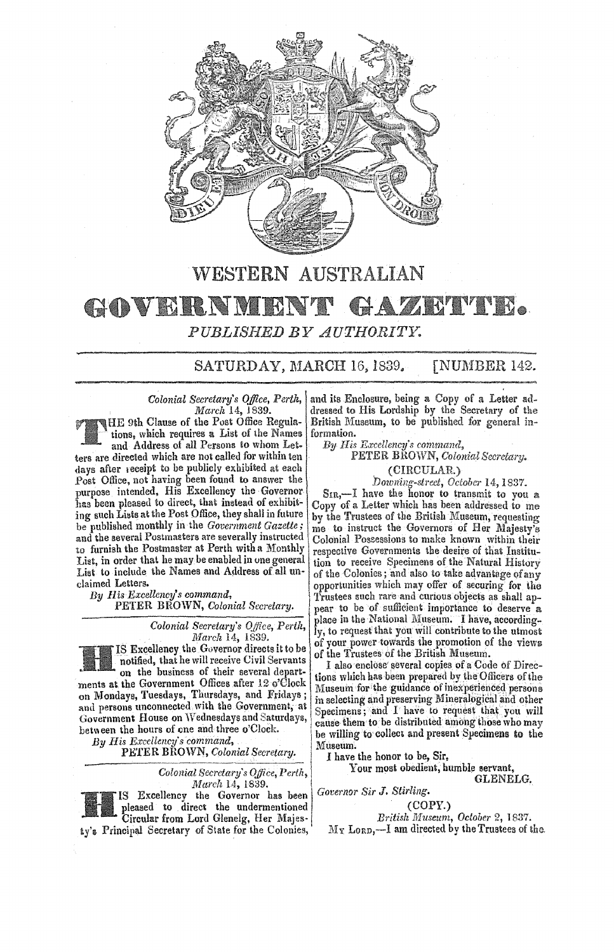

# WESTERN AUSTRALIAN GOVERNMEN AZETVR. PUBLISHED BY AUTHORITY.

SATURDAY, MARCH 16, 1839. **[NUMBER 142.** 

Colonial Secretary's Office, Perth, March 14, 1839.

**NHE 9th Clause of the Post Office Regula**tions, which requires a List of the Names and Address of all Persons to whom Letters are directed which are not called for within ten days after receipt to be publicly exhibited at each Post Office, not having been found to answer the purpose intended, His Excellency the Governor has been pleased to direct, that instead of exhibiting such Lists at the Post Office, they shall in future be published monthly in the Government Gazette; and the several Postmasters are severally instructed to furnish the Postmaster at Perth with a Monthly List, in order that he may be enabled in one general List to include the Names and Address of all unclaimed Letters.

By His Excellency's command, PETER BROWN, Colonial Secretary.

> Colonial Secretary's Office, Perth, March 14, 1839.

IS Excellency the Governor directs it to be notified, that he will receive Civil Servants on the business of their several departments at the Government Offices after 12 o'Clock on Mondays, Tuesdays, Thursdays, and Fridays; and persons unconnected with the Government, at Government House on Wednesdays and Saturdays, between the hours of one and three o'Clock.

By His Excellency's command,

PETER BROWN, Colonial Secretary.

Colonial Secretary's Office, Perth, March 14, 1839. IS Excellency the Governor has been

pleased to direct the undermentioned Circular from Lord Glenelg, Her Majesty's Principal Secretary of State for the Colonies,

and its Enclosure, being a Copy of a Letter addressed to His Lordship by the Secretary of the British Museum, to be published for general information.

By His Excellency's command,

PETER BROWN, Colonial Secretary. (CIRCULAR.)

Downing-street, October 14, 1837.<br>SIR,-I have the honor to transmit to you a Copy of a Letter which has been addressed to me by the Trustees of the British Museum, requesting me to instruct the Governors of Her Majesty's Colonial Possessions to make known within their<br>respective Governments the desire of that Institution to receive Specimens of the Natural History of the Colonies; and also to take advantage of any opportunities which may offer of securing for the Trustees such rare and curious objects as shall appear to be of sufficient importance to deserve a place in the National Museum. I have, accordingly, to request that you will contribute to the utmost of your power towards the promotion of the views of the Trustees of the British Museum.

I also enclose several copies of a Code of Directions which has been prepared by the Officers of the Museum for the guidance of inexperienced persons in selecting and preserving Mineralogical and other Specimens; and I have to request that you will<br>cause them to be distributed among those who may be willing to collect and present Specimens to the Museum.

I have the honor to be, Sir,

Your most obedient, humble servant, GLENELG.

Governor Sir J. Stirling.  $(COPY.)$ 

British Museum, October 2, 1837. My Lorp, -- I am directed by the Trustees of the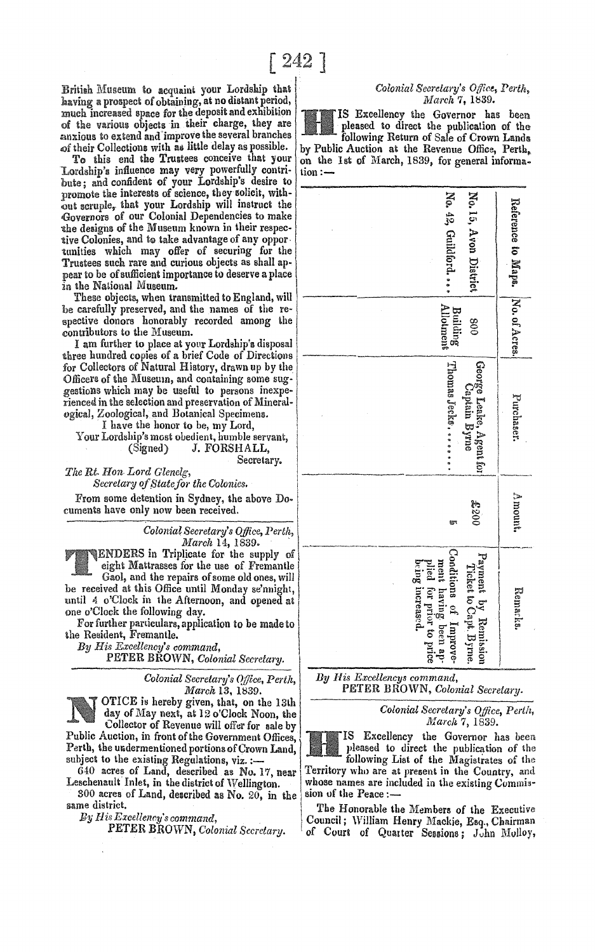British Museum to acquaint your Lordship that having a prospect of obtaining, at no distant period, much increased space for the deposit and exhibition of the various objects in their charge, they are anxious to extend and improve the several branches of their Collections with as little delay as possible.

To this end the Trustees conceive that your Lordship's influence may very powerfully contribute: and confident of your Lordship's desire to promote the interests of science, they solicit, without scruple, that your Lordship will instruct the Governors of our Colonial Dependencies to make the designs of the Museum known in their respective Colonies, and to take advantage of any oppor. tunities which may offer of securing for the Trustees such rare and curious objects as shall appear to be of sufficient importance to deserve a place in the National Museum.

These objects, when transmitted to England, will be carefully preserved, and the names of the respective donors honorably recorded among the contributors to the Museum.

I am further to place at your Lordship's disposal three hundred copies of a brief Code of Directions for Collectors of Natural History, drawn up by the Officers of the Museum, and containing some suggestions which may be useful to persons inexperienced in the selection and preservation of Mineralogical, Zoological, and Botanical Specimens.

I have the honor to be, my Lord, Your Lordship's most obedient, humble servant, (Signed) J. FORSHALL, Secretary.

The Rt. Hon Lord Glenelg,

Secretary of State for the Colonies.

From some detention in Sydney, the above Documents have only now been received.

> Colonial Secretary's Office, Perth, March 14, 1839.

**ENDERS** in Triplicate for the supply of eight Mattrasses for the use of Fremantle

Gaol, and the repairs of some old ones, will be received at this Office until Monday se'nnight, until 4 o'Clock in the Afternoon, and opened at one o'Clock the following day.

For further particulars, application to be made to the Resident, Fremantle.

By His Excellency's command,

PETER BŘOWN, Colonial Secretary.

Colonial Secretary's Office, Perth, March 13, 1839.

OTICE is hereby given, that, on the 13th day of May next, at 12 o'Clock Noon, the Collector of Revenue will offer for sale by Public Auction, in front of the Government Offices, Perth, the undermentioned portions of Crown Land. subject to the existing Regulations, viz. :-

640 acres of Land, described as No. 17, near Leschenault Inlet, in the district of Wellington.

300 acres of Land, described as No. 20, in the same district.

By His Excellency's command,

PETER BROWN, Colonial Secretary.

## Colonial Secretary's Office, Perth, March 7, 1839.

IS Excellency the Governor has been pleased to direct the publication of the following Return of Sale of Crown Lands by Public Auction at the Revenue Office, Perth, on the 1st of March, 1839, for general informa- $\text{tion} :=$ 

| No. 15, Avon District<br>No. 42, Guildford                                                                                                       | Reference to Maps. [No. of Acres.] |
|--------------------------------------------------------------------------------------------------------------------------------------------------|------------------------------------|
| <b>Building</b><br>Allotment<br>008                                                                                                              |                                    |
| Thomas Jecks<br>George Leake, Agent for<br>Captain Byrne                                                                                         | Purchaser.                         |
| 0038                                                                                                                                             | Amount.                            |
| Conditions of Improve-<br>ment having been ap-<br>plied for prior to price<br>being increased.<br>Payment by Remission<br>Ticket to Capt. Byrne. | Remarks.                           |

By His Excellencys command, PETER BROWN, Colonial Secretary.

> Colonial Secretary's Office, Perth, March 7, 1839.

IS Excellency the Governor has been pleased to direct the publication of the following List of the Magistrates of the Territory who are at present in the Country, and whose names are included in the existing Commission of the Peace :-

The Honorable the Members of the Executive Council; William Henry Mackie, Esq., Chairman of Court of Quarter Sessions; John Molloy,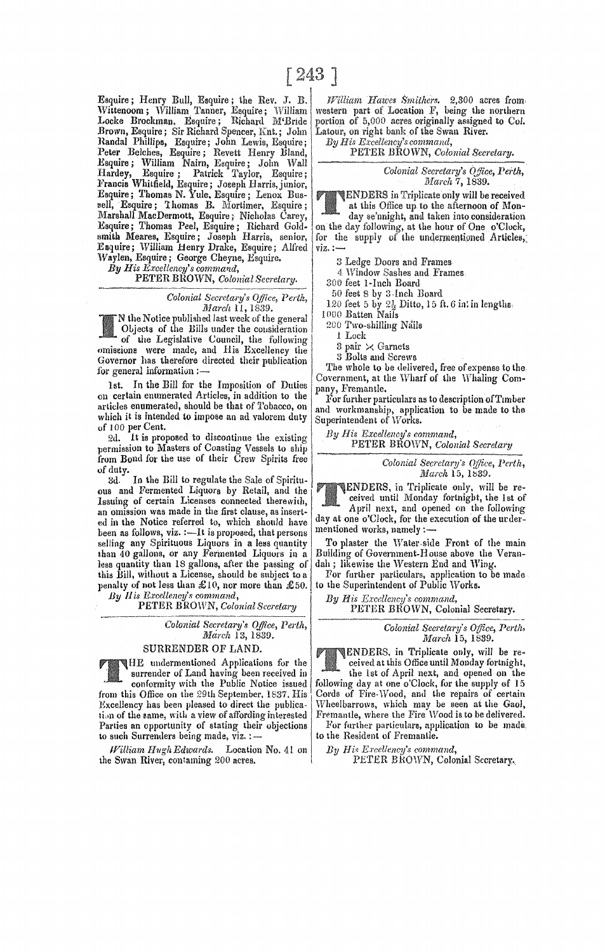Esquire; Henry Bull, Esquire; the Rev. J. B. Wittenoom; William Tanner, Esquire; William Locke Brockman, Esquire; Richard M'Bride Brown, Esquire; Sir Richard Spencer, Knt.; John Randal Phillips, Esquire; John Lewis, Esquire; Peter Belches, Esquire; Revett Henry Bland, Esquire; William Nairn, Edquire; John Wall Hardey, Esquire; Palrick Taylor, Esquire; l,'rancia WhiLtield, Esquire; Joeeph Harris,junior, Esquire; Tbomas N. Yule. Esquire; Lenox BU8 sell, Esquire; Thomas B. Mortimer, Esquire; Marshall MacDermott, Esquire; Nicholas Carey, Esquire; Thomas Peel, Esquire; Richard Goldsmith Meares, Esquire; Joseph Harris, senior, Esquire; William Henry Drake, Esquire; Alfred Waylen. Esquire; George Cheyne, Esquire.

 $By\ H is\ Excellency's\ command,$ 

PETER BROWN, *Colonial Secretary.* 

*Colonial Secretary's Q/flce, Perth, March* 11,1839.

 $\begin{array}{c} \textit{March 11, 1839.} \ \textit{We Note published last week of the general Objects of the Bill under the consideration} \end{array} \begin{array}{c} \textit{1} \ \textit{1}. \ \textit{1} \ \textit{2}. \end{array}$ of the Legislative Council, the following omiseions were made, and His Excellency the Governor has therefore directed their publication for general information :-

1st. In the Bill for the Imposition of Duties on certain enumerated Articles, in addition to the articles enumerated, should be that of Tobacco, on which it is intended to impose an ad valorem duty of 100 per Cent.

2d. It is proposed to discontinue the existing permission to Masters of Coasting Vessels to ship from Bond for the use of their Crew Spirits free

of duty. In the Bill to regulate the Sale of Spirituous and Fermented Liquors by Retail, and the Issuing of certain Licenses connected therewith, an omission was made in the first clause, as inserted in the Notice referred to, which should have been as follows,  $viz. :=$  It is proposed, that persons selling any Spirituous Liquors in a less quantity than 40 gallons, or any Ferinenled Liquors in a less quantity than 18 gallons, after the passing of this Bill, without a License, should be subject to a penalty of not less than £10, nor more than £50. *By His Excellency's command,* 

PETER BROWN, *Colonial Secretary* 

*Colonial Secretary's Office, Perth, lVIarclt* 13,1839.

# SURRENDER OF LAND.

HE undermentioned Applications for the surrender of Land having been received in

conformity with the Public Notice issued from this Office on the 29th September. 1837. His Excellency has been pleased to direct the publication of the same, with a view of affording interested Parties an opportunity of stating their objections to such Surrenders being made, viz. :-

*lf7illiam HughEdwards.* Location No. 41 on the Swan River, contaming 200 acres.

*Hawes Smithers.* 2,300 acres from, of Location F, being the northern portion of 5,000 acres originally assigned to Col. Latour, on right bank of the Swan River.<br>By His Excellency's command,

PETER BROWN, Colonial Secretary.

*Colonial Secretary's Office, Perth, March* 7, 1839.

UENDERS in Triplicate only will be received at this Office up to the afternoon of Mon-

day se'nnight, and taken into consideration on the day following, at the hour of One o'Clock, for the supply of the undermentioned Articles, viz.:-

3 Ledge Doors and Frames

4 Window Sashes and Frames.

300 feet 1-Inch Board

50 feet 8 by 3-Inch Board

 $120$  feet 5 by  $2\frac{1}{2}$  Ditto, 15 ft. 6 in: in lengths, 1000 Batten Nails

200 Two-shilling Nails

1 Lock

3 pair  $\times$  Garnets

3 Bolts and Screws

The whole to be delivered, free of expense to the Covernmcnt, at the Wharf of the Whaling Company, Fremantle.

For further particulars as to description of Timber and workmanship, application to be made to the Superintendent of Works.

*By His Excellency's command,* 

PETER BROWN, *Colonial Secretary* 

*Colonial Secretary's OjJice, Perth, March* 15, 1539.

ENDERS, in Triplicate only. will be received until Monday fortnight, the 1st of

April next, and opened on the following day at one o'Clock, for the execution of the urdermentioned works, namely :-

To plaster the Water.side Front of the main Building of Government·House above the Verandah; likewise the Western End and Wing.

For further particulars. application to be made to the Superintendent of Public Works.

*By His Excellency's command,*  PETER BROWN, Colonial Secretary.

> *Colonial Secretary's Office, Perth, March* 15, 1839.

ENDERS. in Triplicate only, will be received at this Office until Monday fortnight,

the lst of April next, and opened on the following day at one o'Clock, for the supply of 15 Cords of Fire-Wood, and lhe repairs of certain 'Wheelbarrows, which may be seen at the Gaol, Fremantle, where the Fire Wood is to be delivered. For further particulars, application to be made.

to the Resident of Fremantle.

*By His Excellency's command,* 

PETER BHOWN, Colonial Secretary.